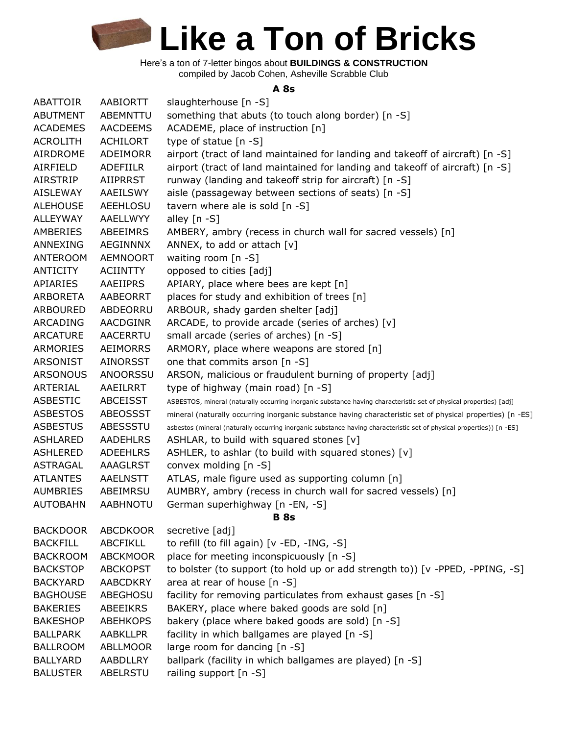> Here's a ton of 7-letter bingos about **BUILDINGS & CONSTRUCTION** compiled by Jacob Cohen, Asheville Scrabble Club

#### **A 8s**

| <b>ABATTOIR</b> | AABIORTT        | slaughterhouse [n -S]                                                                                                 |
|-----------------|-----------------|-----------------------------------------------------------------------------------------------------------------------|
| <b>ABUTMENT</b> | ABEMNTTU        | something that abuts (to touch along border) [n -S]                                                                   |
| <b>ACADEMES</b> | <b>AACDEEMS</b> | ACADEME, place of instruction [n]                                                                                     |
| <b>ACROLITH</b> | <b>ACHILORT</b> | type of statue [n -S]                                                                                                 |
| <b>AIRDROME</b> | ADEIMORR        | airport (tract of land maintained for landing and takeoff of aircraft) [n -S]                                         |
| AIRFIELD        | <b>ADEFIILR</b> | airport (tract of land maintained for landing and takeoff of aircraft) [n -S]                                         |
| AIRSTRIP        | <b>AIIPRRST</b> | runway (landing and takeoff strip for aircraft) [n -S]                                                                |
| <b>AISLEWAY</b> | AAEILSWY        | aisle (passageway between sections of seats) [n -S]                                                                   |
| <b>ALEHOUSE</b> | AEEHLOSU        | tavern where ale is sold $[n - S]$                                                                                    |
| <b>ALLEYWAY</b> | AAELLWYY        | alley $[n - S]$                                                                                                       |
| AMBERIES        | ABEEIMRS        | AMBERY, ambry (recess in church wall for sacred vessels) [n]                                                          |
| ANNEXING        | <b>AEGINNNX</b> | ANNEX, to add or attach $[v]$                                                                                         |
| ANTEROOM        | <b>AEMNOORT</b> | waiting room [n -S]                                                                                                   |
| ANTICITY        | ACIINTTY        | opposed to cities [adj]                                                                                               |
| APIARIES        | AAEIIPRS        | APIARY, place where bees are kept [n]                                                                                 |
| ARBORETA        | AABEORRT        | places for study and exhibition of trees [n]                                                                          |
| <b>ARBOURED</b> | ABDEORRU        | ARBOUR, shady garden shelter [adj]                                                                                    |
| ARCADING        | AACDGINR        | ARCADE, to provide arcade (series of arches) [v]                                                                      |
| <b>ARCATURE</b> | <b>AACERRTU</b> | small arcade (series of arches) [n -S]                                                                                |
| ARMORIES        | <b>AEIMORRS</b> | ARMORY, place where weapons are stored [n]                                                                            |
| <b>ARSONIST</b> | <b>AINORSST</b> | one that commits arson [n -S]                                                                                         |
| <b>ARSONOUS</b> | <b>ANOORSSU</b> | ARSON, malicious or fraudulent burning of property [adj]                                                              |
| ARTERIAL        | AAEILRRT        | type of highway (main road) [n -S]                                                                                    |
| <b>ASBESTIC</b> | <b>ABCEISST</b> | ASBESTOS, mineral (naturally occurring inorganic substance having characteristic set of physical properties) [adj]    |
| <b>ASBESTOS</b> | ABEOSSST        | mineral (naturally occurring inorganic substance having characteristic set of physical properties) [n -ES]            |
| <b>ASBESTUS</b> | ABESSSTU        | asbestos (mineral (naturally occurring inorganic substance having characteristic set of physical properties)) [n -ES] |
| ASHLARED        | <b>AADEHLRS</b> | ASHLAR, to build with squared stones [v]                                                                              |
| <b>ASHLERED</b> | <b>ADEEHLRS</b> | ASHLER, to ashlar (to build with squared stones) [v]                                                                  |
| <b>ASTRAGAL</b> | <b>AAAGLRST</b> | convex molding [n -S]                                                                                                 |
| <b>ATLANTES</b> | <b>AAELNSTT</b> | ATLAS, male figure used as supporting column [n]                                                                      |
| <b>AUMBRIES</b> | ABEIMRSU        | AUMBRY, ambry (recess in church wall for sacred vessels) [n]                                                          |
| <b>AUTOBAHN</b> | <b>AABHNOTU</b> | German superhighway [n -EN, -S]                                                                                       |
|                 |                 | <b>B</b> 8s                                                                                                           |
| <b>BACKDOOR</b> | <b>ABCDKOOR</b> | secretive [adj]                                                                                                       |
| <b>BACKFILL</b> | <b>ABCFIKLL</b> | to refill (to fill again) [v -ED, -ING, -S]                                                                           |
| <b>BACKROOM</b> | <b>ABCKMOOR</b> | place for meeting inconspicuously [n -S]                                                                              |
| <b>BACKSTOP</b> | <b>ABCKOPST</b> | to bolster (to support (to hold up or add strength to)) [v -PPED, -PPING, -S]                                         |
| <b>BACKYARD</b> | <b>AABCDKRY</b> | area at rear of house [n -S]                                                                                          |
| <b>BAGHOUSE</b> | ABEGHOSU        | facility for removing particulates from exhaust gases [n -S]                                                          |
| <b>BAKERIES</b> | <b>ABEEIKRS</b> | BAKERY, place where baked goods are sold [n]                                                                          |
| <b>BAKESHOP</b> | <b>ABEHKOPS</b> | bakery (place where baked goods are sold) [n -S]                                                                      |
| <b>BALLPARK</b> | <b>AABKLLPR</b> | facility in which ballgames are played [n -S]                                                                         |
| <b>BALLROOM</b> | <b>ABLLMOOR</b> | large room for dancing [n -S]                                                                                         |
| <b>BALLYARD</b> | AABDLLRY        | ballpark (facility in which ballgames are played) [n -S]                                                              |
| <b>BALUSTER</b> | ABELRSTU        | railing support [n -S]                                                                                                |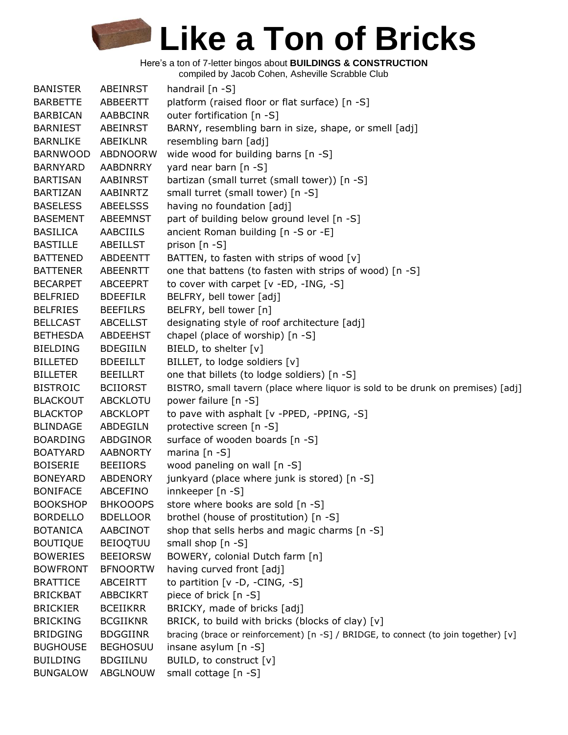Here's a ton of 7-letter bingos about **BUILDINGS & CONSTRUCTION**

compiled by Jacob Cohen, Asheville Scrabble Club

| <b>BANISTER</b> | ABEINRST        |                                                                                     |
|-----------------|-----------------|-------------------------------------------------------------------------------------|
|                 | ABBEERTT        | handrail [n -S]                                                                     |
| <b>BARBETTE</b> |                 | platform (raised floor or flat surface) [n -S]                                      |
| <b>BARBICAN</b> | AABBCINR        | outer fortification [n -S]                                                          |
| <b>BARNIEST</b> | <b>ABEINRST</b> | BARNY, resembling barn in size, shape, or smell [adj]                               |
| <b>BARNLIKE</b> | ABEIKLNR        | resembling barn [adj]                                                               |
| <b>BARNWOOD</b> | ABDNOORW        | wide wood for building barns [n -S]                                                 |
| <b>BARNYARD</b> | AABDNRRY        | yard near barn [n -S]                                                               |
| <b>BARTISAN</b> | AABINRST        | bartizan (small turret (small tower)) [n -S]                                        |
| <b>BARTIZAN</b> | AABINRTZ        | small turret (small tower) [n -S]                                                   |
| <b>BASELESS</b> | <b>ABEELSSS</b> | having no foundation [adj]                                                          |
| <b>BASEMENT</b> | ABEEMNST        | part of building below ground level [n -S]                                          |
| <b>BASILICA</b> | <b>AABCIILS</b> | ancient Roman building [n -S or -E]                                                 |
| <b>BASTILLE</b> | ABEILLST        | prison [n -S]                                                                       |
| <b>BATTENED</b> | ABDEENTT        | BATTEN, to fasten with strips of wood [v]                                           |
| <b>BATTENER</b> | ABEENRTT        | one that battens (to fasten with strips of wood) [n -S]                             |
| <b>BECARPET</b> | <b>ABCEEPRT</b> | to cover with carpet [v -ED, -ING, -S]                                              |
| <b>BELFRIED</b> | <b>BDEEFILR</b> | BELFRY, bell tower [adj]                                                            |
| <b>BELFRIES</b> | <b>BEEFILRS</b> | BELFRY, bell tower [n]                                                              |
| <b>BELLCAST</b> | <b>ABCELLST</b> | designating style of roof architecture [adj]                                        |
| <b>BETHESDA</b> | ABDEEHST        | chapel (place of worship) [n -S]                                                    |
| <b>BIELDING</b> | <b>BDEGIILN</b> | BIELD, to shelter [v]                                                               |
| <b>BILLETED</b> | <b>BDEEILLT</b> | BILLET, to lodge soldiers [v]                                                       |
| <b>BILLETER</b> | <b>BEEILLRT</b> | one that billets (to lodge soldiers) [n -S]                                         |
| <b>BISTROIC</b> | <b>BCIIORST</b> | BISTRO, small tavern (place where liquor is sold to be drunk on premises) [adj]     |
| <b>BLACKOUT</b> | ABCKLOTU        | power failure [n -S]                                                                |
| <b>BLACKTOP</b> | <b>ABCKLOPT</b> | to pave with asphalt [v -PPED, -PPING, -S]                                          |
| <b>BLINDAGE</b> | ABDEGILN        | protective screen [n -S]                                                            |
| <b>BOARDING</b> | ABDGINOR        | surface of wooden boards [n -S]                                                     |
| <b>BOATYARD</b> | <b>AABNORTY</b> | marina $[n - S]$                                                                    |
| <b>BOISERIE</b> | <b>BEEIIORS</b> | wood paneling on wall [n -S]                                                        |
| <b>BONEYARD</b> | ABDENORY        | junkyard (place where junk is stored) [n -S]                                        |
| <b>BONIFACE</b> | <b>ABCEFINO</b> | innkeeper [n -S]                                                                    |
| <b>BOOKSHOP</b> | <b>BHKOOOPS</b> | store where books are sold [n -S]                                                   |
| <b>BORDELLO</b> | <b>BDELLOOR</b> | brothel (house of prostitution) [n -S]                                              |
| <b>BOTANICA</b> | AABCINOT        | shop that sells herbs and magic charms [n -S]                                       |
| <b>BOUTIQUE</b> | <b>BEIOQTUU</b> | small shop [n -S]                                                                   |
| <b>BOWERIES</b> | <b>BEEIORSW</b> | BOWERY, colonial Dutch farm [n]                                                     |
| <b>BOWFRONT</b> | <b>BFNOORTW</b> | having curved front [adj]                                                           |
| <b>BRATTICE</b> | ABCEIRTT        | to partition $[v -D, -CING, -S]$                                                    |
| <b>BRICKBAT</b> | <b>ABBCIKRT</b> | piece of brick [n -S]                                                               |
| <b>BRICKIER</b> | <b>BCEIIKRR</b> | BRICKY, made of bricks [adj]                                                        |
| <b>BRICKING</b> | <b>BCGIIKNR</b> | BRICK, to build with bricks (blocks of clay) [v]                                    |
| <b>BRIDGING</b> | <b>BDGGIINR</b> | bracing (brace or reinforcement) [n -S] / BRIDGE, to connect (to join together) [v] |
| <b>BUGHOUSE</b> | <b>BEGHOSUU</b> | insane asylum [n -S]                                                                |
| <b>BUILDING</b> | <b>BDGIILNU</b> | BUILD, to construct [v]                                                             |
| <b>BUNGALOW</b> | ABGLNOUW        | small cottage [n -S]                                                                |
|                 |                 |                                                                                     |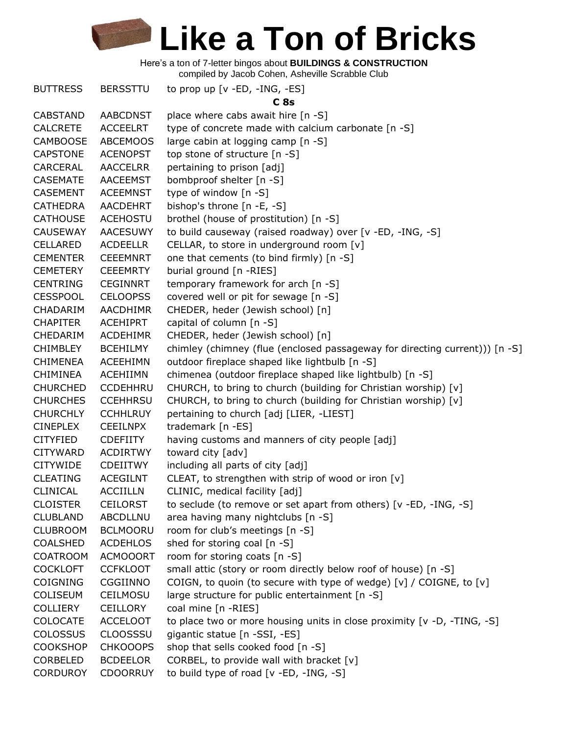Here's a ton of 7-letter bingos about **BUILDINGS & CONSTRUCTION**

compiled by Jacob Cohen, Asheville Scrabble Club

BUTTRESS BERSSTTU to prop up [v -ED, -ING, -ES] **C 8s** CABSTAND AABCDNST place where cabs await hire [n -S] CALCRETE ACCEELRT type of concrete made with calcium carbonate [n -S] CAMBOOSE ABCEMOOS large cabin at logging camp [n -S] CAPSTONE ACENOPST top stone of structure [n -S] CARCERAL AACCELRR pertaining to prison [adj] CASEMATE AACEEMST bombproof shelter [n -S] CASEMENT ACEEMNST type of window [n -S] CATHEDRA AACDEHRT bishop's throne [n -E, -S] CATHOUSE ACEHOSTU brothel (house of prostitution) [n -S] CAUSEWAY AACESUWY to build causeway (raised roadway) over [v -ED, -ING, -S] CELLARED ACDEELLR CELLAR, to store in underground room [v] CEMENTER CEEEMNRT one that cements (to bind firmly) [n -S] CEMETERY CEEEMRTY burial ground [n -RIES] CENTRING CEGINNRT temporary framework for arch [n -S] CESSPOOL CELOOPSS covered well or pit for sewage [n -S] CHADARIM AACDHIMR CHEDER, heder (Jewish school) [n] CHAPITER ACEHIPRT capital of column [n -S] CHEDARIM ACDEHIMR CHEDER, heder (Jewish school) [n] CHIMBLEY BCEHILMY chimley (chimney (flue (enclosed passageway for directing current))) [n -S] CHIMENEA ACEEHIMN outdoor fireplace shaped like lightbulb [n -S] CHIMINEA ACEHIIMN chimenea (outdoor fireplace shaped like lightbulb) [n -S] CHURCHED CCDEHHRU CHURCH, to bring to church (building for Christian worship) [v] CHURCHES CCEHHRSU CHURCH, to bring to church (building for Christian worship) [v] CHURCHLY CCHHLRUY pertaining to church [adj [LIER, -LIEST] CINEPLEX CEEILNPX trademark [n -ES] CITYFIED CDEFIITY having customs and manners of city people [adj] CITYWARD ACDIRTWY toward city [adv] CITYWIDE CDEIITWY including all parts of city [adj] CLEATING ACEGILNT CLEAT, to strengthen with strip of wood or iron  $[v]$ CLINICAL ACCIILLN CLINIC, medical facility [adj] CLOISTER CEILORST to seclude (to remove or set apart from others) [v -ED, -ING, -S] CLUBLAND ABCDLLNU area having many nightclubs [n -S] CLUBROOM BCLMOORU room for club's meetings [n -S] COALSHED ACDEHLOS shed for storing coal [n -S] COATROOM ACMOOORT room for storing coats [n -S] COCKLOFT CCFKLOOT small attic (story or room directly below roof of house) [n -S] COIGNING CGGIINNO COIGN, to quoin (to secure with type of wedge)  $[v] / CO$ IGNE, to  $[v]$ COLISEUM CEILMOSU large structure for public entertainment [n -S] COLLIERY CEILLORY coal mine [n -RIES] COLOCATE ACCELOOT to place two or more housing units in close proximity [v -D, -TING, -S] COLOSSUS CLOOSSSU gigantic statue [n -SSI, -ES] COOKSHOP CHKOOOPS shop that sells cooked food [n -S] CORBELED BCDEELOR CORBEL, to provide wall with bracket [v] CORDUROY CDOORRUY to build type of road [v -ED, -ING, -S]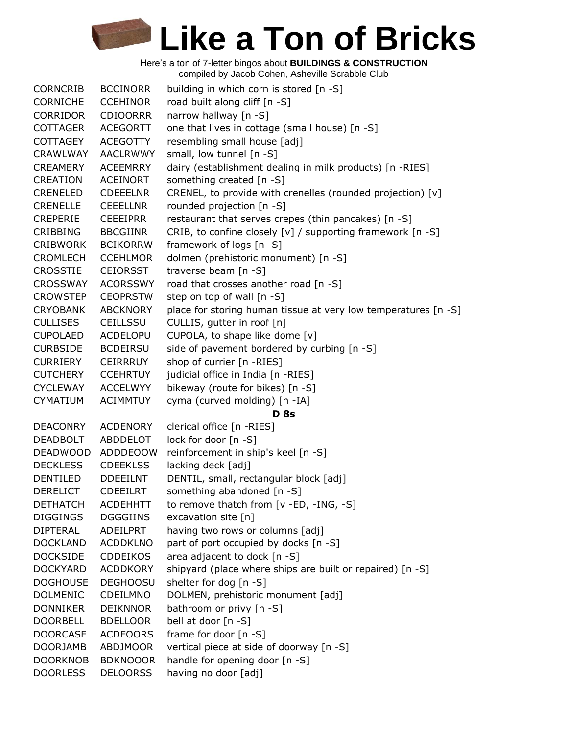| <b>CORNCRIB</b> | <b>BCCINORR</b> | building in which corn is stored [n -S]                        |
|-----------------|-----------------|----------------------------------------------------------------|
| <b>CORNICHE</b> | <b>CCEHINOR</b> | road built along cliff [n -S]                                  |
| <b>CORRIDOR</b> | <b>CDIOORRR</b> | narrow hallway [n -S]                                          |
| <b>COTTAGER</b> | <b>ACEGORTT</b> | one that lives in cottage (small house) [n -S]                 |
| <b>COTTAGEY</b> | <b>ACEGOTTY</b> | resembling small house [adj]                                   |
| <b>CRAWLWAY</b> | <b>AACLRWWY</b> | small, low tunnel [n -S]                                       |
| <b>CREAMERY</b> | <b>ACEEMRRY</b> | dairy (establishment dealing in milk products) [n -RIES]       |
| <b>CREATION</b> | <b>ACEINORT</b> | something created [n -S]                                       |
| <b>CRENELED</b> | <b>CDEEELNR</b> | CRENEL, to provide with crenelles (rounded projection) [v]     |
| <b>CRENELLE</b> | <b>CEEELLNR</b> | rounded projection [n -S]                                      |
| <b>CREPERIE</b> | <b>CEEEIPRR</b> | restaurant that serves crepes (thin pancakes) [n -S]           |
| <b>CRIBBING</b> | <b>BBCGIINR</b> | CRIB, to confine closely [v] / supporting framework [n -S]     |
| <b>CRIBWORK</b> | <b>BCIKORRW</b> | framework of logs [n -S]                                       |
| <b>CROMLECH</b> | <b>CCEHLMOR</b> | dolmen (prehistoric monument) [n -S]                           |
| <b>CROSSTIE</b> | <b>CEIORSST</b> | traverse beam [n -S]                                           |
| <b>CROSSWAY</b> | <b>ACORSSWY</b> | road that crosses another road [n -S]                          |
| <b>CROWSTEP</b> | <b>CEOPRSTW</b> | step on top of wall [n -S]                                     |
| <b>CRYOBANK</b> | <b>ABCKNORY</b> | place for storing human tissue at very low temperatures [n -S] |
| <b>CULLISES</b> | <b>CEILLSSU</b> | CULLIS, gutter in roof [n]                                     |
| <b>CUPOLAED</b> | <b>ACDELOPU</b> | CUPOLA, to shape like dome [v]                                 |
| <b>CURBSIDE</b> | <b>BCDEIRSU</b> | side of pavement bordered by curbing [n -S]                    |
| <b>CURRIERY</b> | <b>CEIRRRUY</b> | shop of currier [n -RIES]                                      |
| <b>CUTCHERY</b> | <b>CCEHRTUY</b> | judicial office in India [n -RIES]                             |
| <b>CYCLEWAY</b> | <b>ACCELWYY</b> | bikeway (route for bikes) [n -S]                               |
| <b>CYMATIUM</b> | <b>ACIMMTUY</b> | cyma (curved molding) [n -IA]                                  |
|                 |                 | <b>D</b> 8s                                                    |
| <b>DEACONRY</b> | <b>ACDENORY</b> | clerical office [n -RIES]                                      |
| <b>DEADBOLT</b> | ABDDELOT        | lock for door [n -S]                                           |
| <b>DEADWOOD</b> | ADDDEOOW        | reinforcement in ship's keel [n -S]                            |
| <b>DECKLESS</b> | <b>CDEEKLSS</b> | lacking deck [adj]                                             |
| DENTILED        | <b>DDEEILNT</b> | DENTIL, small, rectangular block [adj]                         |
| <b>DERELICT</b> | <b>CDEEILRT</b> | something abandoned [n -S]                                     |
| <b>DETHATCH</b> | <b>ACDEHHTT</b> | to remove thatch from [v -ED, -ING, -S]                        |
| <b>DIGGINGS</b> | <b>DGGGIINS</b> | excavation site [n]                                            |
| <b>DIPTERAL</b> | ADEILPRT        | having two rows or columns [adj]                               |
| <b>DOCKLAND</b> | <b>ACDDKLNO</b> | part of port occupied by docks [n -S]                          |
| <b>DOCKSIDE</b> | <b>CDDEIKOS</b> | area adjacent to dock [n -S]                                   |
| <b>DOCKYARD</b> | <b>ACDDKORY</b> | shipyard (place where ships are built or repaired) [n -S]      |
| <b>DOGHOUSE</b> | <b>DEGHOOSU</b> | shelter for dog [n -S]                                         |
| <b>DOLMENIC</b> | CDEILMNO        | DOLMEN, prehistoric monument [adj]                             |
| <b>DONNIKER</b> | <b>DEIKNNOR</b> | bathroom or privy [n -S]                                       |
| <b>DOORBELL</b> | <b>BDELLOOR</b> | bell at door [n -S]                                            |
| <b>DOORCASE</b> | <b>ACDEOORS</b> | frame for door [n -S]                                          |
| <b>DOORJAMB</b> | <b>ABDJMOOR</b> | vertical piece at side of doorway [n -S]                       |
| <b>DOORKNOB</b> | <b>BDKNOOOR</b> | handle for opening door [n -S]                                 |
| <b>DOORLESS</b> | <b>DELOORSS</b> | having no door [adj]                                           |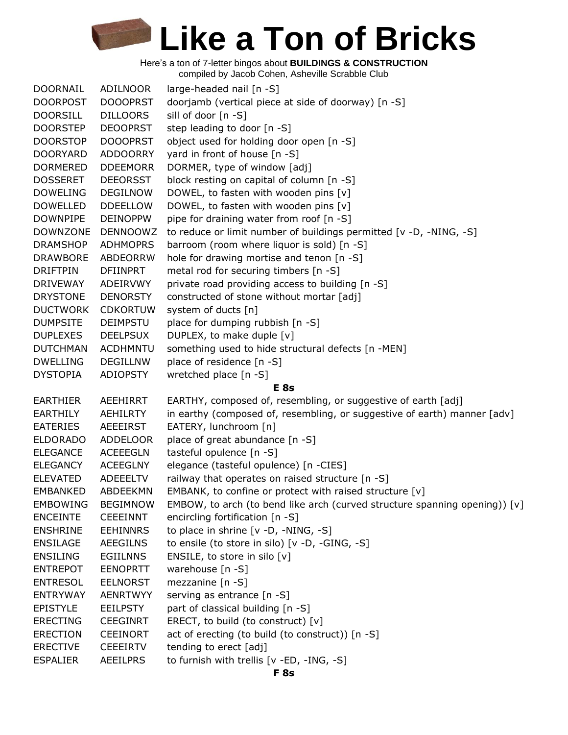Here's a ton of 7-letter bingos about **BUILDINGS & CONSTRUCTION**

compiled by Jacob Cohen, Asheville Scrabble Club

| DOORNAIL        | ADILNOOR        | large-headed nail [n -S]                                                   |
|-----------------|-----------------|----------------------------------------------------------------------------|
| <b>DOORPOST</b> | <b>DOOOPRST</b> | doorjamb (vertical piece at side of doorway) [n -S]                        |
| <b>DOORSILL</b> | <b>DILLOORS</b> | sill of door [n -S]                                                        |
| <b>DOORSTEP</b> | <b>DEOOPRST</b> | step leading to door [n -S]                                                |
| <b>DOORSTOP</b> | <b>DOOOPRST</b> | object used for holding door open [n -S]                                   |
| <b>DOORYARD</b> | <b>ADDOORRY</b> | yard in front of house [n -S]                                              |
| <b>DORMERED</b> | <b>DDEEMORR</b> | DORMER, type of window [adj]                                               |
| <b>DOSSERET</b> | <b>DEEORSST</b> | block resting on capital of column [n -S]                                  |
| <b>DOWELING</b> | <b>DEGILNOW</b> | DOWEL, to fasten with wooden pins [v]                                      |
| <b>DOWELLED</b> | <b>DDEELLOW</b> | DOWEL, to fasten with wooden pins [v]                                      |
| <b>DOWNPIPE</b> | <b>DEINOPPW</b> | pipe for draining water from roof [n -S]                                   |
| <b>DOWNZONE</b> | <b>DENNOOWZ</b> | to reduce or limit number of buildings permitted [v -D, -NING, -S]         |
| <b>DRAMSHOP</b> | <b>ADHMOPRS</b> | barroom (room where liquor is sold) [n -S]                                 |
| <b>DRAWBORE</b> | ABDEORRW        | hole for drawing mortise and tenon [n -S]                                  |
| <b>DRIFTPIN</b> | <b>DFIINPRT</b> | metal rod for securing timbers [n -S]                                      |
| <b>DRIVEWAY</b> | ADEIRVWY        | private road providing access to building [n -S]                           |
| <b>DRYSTONE</b> | <b>DENORSTY</b> | constructed of stone without mortar [adj]                                  |
| <b>DUCTWORK</b> | <b>CDKORTUW</b> | system of ducts [n]                                                        |
| <b>DUMPSITE</b> | <b>DEIMPSTU</b> | place for dumping rubbish [n -S]                                           |
| <b>DUPLEXES</b> | <b>DEELPSUX</b> | DUPLEX, to make duple [v]                                                  |
| <b>DUTCHMAN</b> | <b>ACDHMNTU</b> | something used to hide structural defects [n -MEN]                         |
| <b>DWELLING</b> | <b>DEGILLNW</b> | place of residence [n -S]                                                  |
| <b>DYSTOPIA</b> | <b>ADIOPSTY</b> | wretched place [n -S]                                                      |
|                 |                 | <b>E</b> 8s                                                                |
| <b>EARTHIER</b> | <b>AEEHIRRT</b> | EARTHY, composed of, resembling, or suggestive of earth [adj]              |
| <b>EARTHILY</b> | <b>AEHILRTY</b> | in earthy (composed of, resembling, or suggestive of earth) manner [adv]   |
| <b>EATERIES</b> | <b>AEEEIRST</b> | EATERY, lunchroom [n]                                                      |
| <b>ELDORADO</b> | <b>ADDELOOR</b> | place of great abundance [n -S]                                            |
| <b>ELEGANCE</b> | <b>ACEEEGLN</b> | tasteful opulence [n -S]                                                   |
| <b>ELEGANCY</b> | <b>ACEEGLNY</b> | elegance (tasteful opulence) [n -CIES]                                     |
| <b>ELEVATED</b> | <b>ADEEELTV</b> | railway that operates on raised structure [n -S]                           |
| <b>EMBANKED</b> | ABDEEKMN        | EMBANK, to confine or protect with raised structure [v]                    |
| <b>EMBOWING</b> | <b>BEGIMNOW</b> | EMBOW, to arch (to bend like arch (curved structure spanning opening)) [v] |
| <b>ENCEINTE</b> | <b>CEEEINNT</b> | encircling fortification [n -S]                                            |
| <b>ENSHRINE</b> | <b>EEHINNRS</b> | to place in shrine [v -D, -NING, -S]                                       |
| <b>ENSILAGE</b> | <b>AEEGILNS</b> | to ensile (to store in silo) [v -D, -GING, -S]                             |
| <b>ENSILING</b> | <b>EGIILNNS</b> | ENSILE, to store in silo [v]                                               |
| <b>ENTREPOT</b> | <b>EENOPRTT</b> | warehouse [n -S]                                                           |
| <b>ENTRESOL</b> | <b>EELNORST</b> | mezzanine [n -S]                                                           |
| <b>ENTRYWAY</b> | AENRTWYY        | serving as entrance [n -S]                                                 |
| <b>EPISTYLE</b> | <b>EEILPSTY</b> | part of classical building [n -S]                                          |
| <b>ERECTING</b> | <b>CEEGINRT</b> | ERECT, to build (to construct) [v]                                         |
| <b>ERECTION</b> | <b>CEEINORT</b> | act of erecting (to build (to construct)) [n -S]                           |
| <b>ERECTIVE</b> | <b>CEEEIRTV</b> | tending to erect [adj]                                                     |
| <b>ESPALIER</b> | <b>AEEILPRS</b> | to furnish with trellis [v -ED, -ING, -S]                                  |
|                 |                 |                                                                            |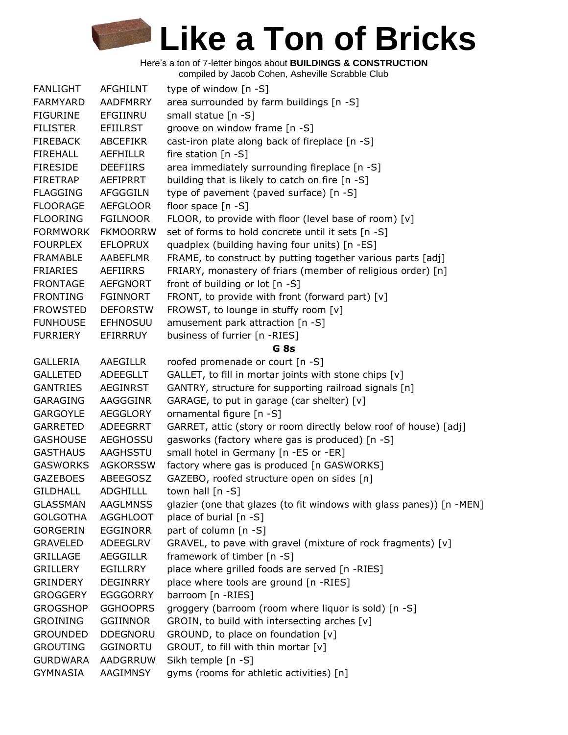Here's a ton of 7-letter bingos about **BUILDINGS & CONSTRUCTION**

compiled by Jacob Cohen, Asheville Scrabble Club

| <b>FANLIGHT</b> | <b>AFGHILNT</b> | type of window [n -S]                                                |
|-----------------|-----------------|----------------------------------------------------------------------|
| <b>FARMYARD</b> | <b>AADFMRRY</b> | area surrounded by farm buildings [n -S]                             |
| <b>FIGURINE</b> | EFGIINRU        | small statue [n -S]                                                  |
| <b>FILISTER</b> | <b>EFIILRST</b> | groove on window frame [n -S]                                        |
| <b>FIREBACK</b> | <b>ABCEFIKR</b> | cast-iron plate along back of fireplace [n -S]                       |
| <b>FIREHALL</b> | <b>AEFHILLR</b> | fire station [n -S]                                                  |
| <b>FIRESIDE</b> | <b>DEEFIIRS</b> | area immediately surrounding fireplace [n -S]                        |
| FIRETRAP        | AEFIPRRT        | building that is likely to catch on fire [n -S]                      |
| <b>FLAGGING</b> | <b>AFGGGILN</b> | type of pavement (paved surface) [n -S]                              |
| <b>FLOORAGE</b> | <b>AEFGLOOR</b> | floor space $[n -S]$                                                 |
| <b>FLOORING</b> | <b>FGILNOOR</b> | FLOOR, to provide with floor (level base of room) [v]                |
| <b>FORMWORK</b> | <b>FKMOORRW</b> | set of forms to hold concrete until it sets [n -S]                   |
| <b>FOURPLEX</b> | <b>EFLOPRUX</b> | quadplex (building having four units) [n -ES]                        |
| <b>FRAMABLE</b> | AABEFLMR        | FRAME, to construct by putting together various parts [adj]          |
| <b>FRIARIES</b> | AEFIIRRS        | FRIARY, monastery of friars (member of religious order) [n]          |
| <b>FRONTAGE</b> | <b>AEFGNORT</b> | front of building or lot [n -S]                                      |
| <b>FRONTING</b> | <b>FGINNORT</b> | FRONT, to provide with front (forward part) [v]                      |
| <b>FROWSTED</b> | <b>DEFORSTW</b> | FROWST, to lounge in stuffy room [v]                                 |
| <b>FUNHOUSE</b> | <b>EFHNOSUU</b> | amusement park attraction [n -S]                                     |
| <b>FURRIERY</b> | EFIRRRUY        | business of furrier [n -RIES]                                        |
|                 |                 | G <sub>8s</sub>                                                      |
| <b>GALLERIA</b> | <b>AAEGILLR</b> | roofed promenade or court [n -S]                                     |
| <b>GALLETED</b> | <b>ADEEGLLT</b> | GALLET, to fill in mortar joints with stone chips [v]                |
| <b>GANTRIES</b> | <b>AEGINRST</b> | GANTRY, structure for supporting railroad signals [n]                |
| <b>GARAGING</b> | AAGGGINR        | GARAGE, to put in garage (car shelter) [v]                           |
| <b>GARGOYLE</b> | AEGGLORY        | ornamental figure [n -S]                                             |
| <b>GARRETED</b> | ADEEGRRT        | GARRET, attic (story or room directly below roof of house) [adj]     |
| <b>GASHOUSE</b> | <b>AEGHOSSU</b> | gasworks (factory where gas is produced) [n -S]                      |
| <b>GASTHAUS</b> | <b>AAGHSSTU</b> | small hotel in Germany [n -ES or -ER]                                |
| <b>GASWORKS</b> | <b>AGKORSSW</b> | factory where gas is produced [n GASWORKS]                           |
| <b>GAZEBOES</b> | ABEEGOSZ        | GAZEBO, roofed structure open on sides [n]                           |
| <b>GILDHALL</b> | <b>ADGHILLL</b> | town hall $[n - S]$                                                  |
| <b>GLASSMAN</b> | <b>AAGLMNSS</b> | glazier (one that glazes (to fit windows with glass panes)) [n -MEN] |
| <b>GOLGOTHA</b> | <b>AGGHLOOT</b> | place of burial [n -S]                                               |
| <b>GORGERIN</b> | <b>EGGINORR</b> | part of column [n -S]                                                |
| <b>GRAVELED</b> | ADEEGLRV        | GRAVEL, to pave with gravel (mixture of rock fragments) [v]          |
| <b>GRILLAGE</b> | <b>AEGGILLR</b> | framework of timber [n -S]                                           |
| <b>GRILLERY</b> | <b>EGILLRRY</b> | place where grilled foods are served [n -RIES]                       |
| <b>GRINDERY</b> | <b>DEGINRRY</b> | place where tools are ground [n -RIES]                               |
| <b>GROGGERY</b> | <b>EGGGORRY</b> | barroom [n -RIES]                                                    |
| <b>GROGSHOP</b> | <b>GGHOOPRS</b> | groggery (barroom (room where liquor is sold) [n -S]                 |
| <b>GROINING</b> | <b>GGIINNOR</b> | GROIN, to build with intersecting arches [v]                         |
| <b>GROUNDED</b> | <b>DDEGNORU</b> | GROUND, to place on foundation [v]                                   |
| <b>GROUTING</b> | <b>GGINORTU</b> | GROUT, to fill with thin mortar [v]                                  |
| <b>GURDWARA</b> | AADGRRUW        | Sikh temple [n -S]                                                   |
| <b>GYMNASIA</b> | AAGIMNSY        | gyms (rooms for athletic activities) [n]                             |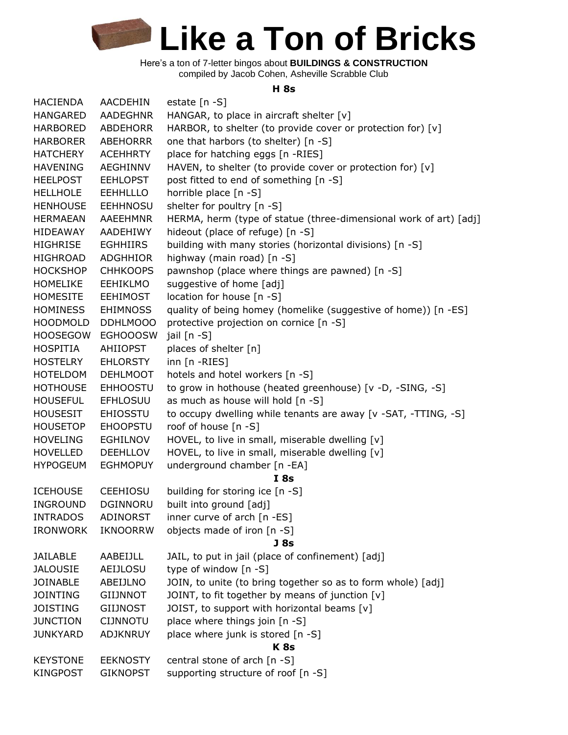Here's a ton of 7-letter bingos about **BUILDINGS & CONSTRUCTION** compiled by Jacob Cohen, Asheville Scrabble Club

#### **H 8s**

| <b>HACIENDA</b> | <b>AACDEHIN</b> | estate $[n -S]$                                                   |
|-----------------|-----------------|-------------------------------------------------------------------|
| <b>HANGARED</b> | <b>AADEGHNR</b> | HANGAR, to place in aircraft shelter [v]                          |
| <b>HARBORED</b> | ABDEHORR        | HARBOR, to shelter (to provide cover or protection for) [v]       |
| <b>HARBORER</b> | ABEHORRR        | one that harbors (to shelter) [n -S]                              |
| <b>HATCHERY</b> | <b>ACEHHRTY</b> | place for hatching eggs [n -RIES]                                 |
| <b>HAVENING</b> | AEGHINNV        | HAVEN, to shelter (to provide cover or protection for) [v]        |
| <b>HEELPOST</b> | <b>EEHLOPST</b> | post fitted to end of something [n -S]                            |
| <b>HELLHOLE</b> | <b>EEHHLLLO</b> | horrible place [n -S]                                             |
| <b>HENHOUSE</b> | <b>EEHHNOSU</b> | shelter for poultry [n -S]                                        |
| <b>HERMAEAN</b> | AAEEHMNR        | HERMA, herm (type of statue (three-dimensional work of art) [adj] |
| <b>HIDEAWAY</b> | AADEHIWY        | hideout (place of refuge) [n -S]                                  |
| <b>HIGHRISE</b> | <b>EGHHIIRS</b> | building with many stories (horizontal divisions) [n -S]          |
| <b>HIGHROAD</b> | <b>ADGHHIOR</b> | highway (main road) [n -S]                                        |
| <b>HOCKSHOP</b> | <b>CHHKOOPS</b> | pawnshop (place where things are pawned) [n -S]                   |
| <b>HOMELIKE</b> | <b>EEHIKLMO</b> | suggestive of home [adj]                                          |
| <b>HOMESITE</b> | <b>EEHIMOST</b> | location for house [n -S]                                         |
| <b>HOMINESS</b> | <b>EHIMNOSS</b> | quality of being homey (homelike (suggestive of home)) [n -ES]    |
| <b>HOODMOLD</b> | DDHLMOOO        | protective projection on cornice [n -S]                           |
| <b>HOOSEGOW</b> | <b>EGHOOOSW</b> | jail [n -S]                                                       |
| <b>HOSPITIA</b> | <b>AHIIOPST</b> | places of shelter [n]                                             |
| <b>HOSTELRY</b> | <b>EHLORSTY</b> | inn [n -RIES]                                                     |
| <b>HOTELDOM</b> | <b>DEHLMOOT</b> | hotels and hotel workers [n -S]                                   |
| <b>HOTHOUSE</b> | <b>EHHOOSTU</b> | to grow in hothouse (heated greenhouse) [v -D, -SING, -S]         |
| <b>HOUSEFUL</b> | <b>EFHLOSUU</b> | as much as house will hold [n -S]                                 |
| <b>HOUSESIT</b> | <b>EHIOSSTU</b> | to occupy dwelling while tenants are away [v -SAT, -TTING, -S]    |
| <b>HOUSETOP</b> | <b>EHOOPSTU</b> | roof of house [n -S]                                              |
| <b>HOVELING</b> | <b>EGHILNOV</b> | HOVEL, to live in small, miserable dwelling [v]                   |
| <b>HOVELLED</b> | <b>DEEHLLOV</b> | HOVEL, to live in small, miserable dwelling [v]                   |
| <b>HYPOGEUM</b> | <b>EGHMOPUY</b> | underground chamber [n -EA]                                       |
|                 |                 | I8s                                                               |
| <b>ICEHOUSE</b> | <b>CEEHIOSU</b> | building for storing ice [n -S]                                   |
| <b>INGROUND</b> | DGINNORU        | built into ground [adj]                                           |
| <b>INTRADOS</b> | ADINORST        | inner curve of arch [n -ES]                                       |
| <b>IRONWORK</b> | <b>IKNOORRW</b> | objects made of iron [n -S]                                       |
|                 |                 | J <sub>8s</sub>                                                   |
| <b>JAILABLE</b> | AABEIJLL        | JAIL, to put in jail (place of confinement) [adj]                 |
| <b>JALOUSIE</b> | <b>AEIJLOSU</b> | type of window [n -S]                                             |
| <b>JOINABLE</b> | ABEIJLNO        | JOIN, to unite (to bring together so as to form whole) [adj]      |
| <b>JOINTING</b> | <b>GIIJNNOT</b> | JOINT, to fit together by means of junction [v]                   |
| <b>JOISTING</b> | <b>GIIJNOST</b> | JOIST, to support with horizontal beams [v]                       |
| <b>JUNCTION</b> | <b>CIJNNOTU</b> | place where things join [n -S]                                    |
| <b>JUNKYARD</b> | <b>ADJKNRUY</b> | place where junk is stored [n -S]                                 |
|                 |                 | K <sub>8s</sub>                                                   |
| <b>KEYSTONE</b> | <b>EEKNOSTY</b> | central stone of arch [n -S]                                      |
| <b>KINGPOST</b> | <b>GIKNOPST</b> | supporting structure of roof [n -S]                               |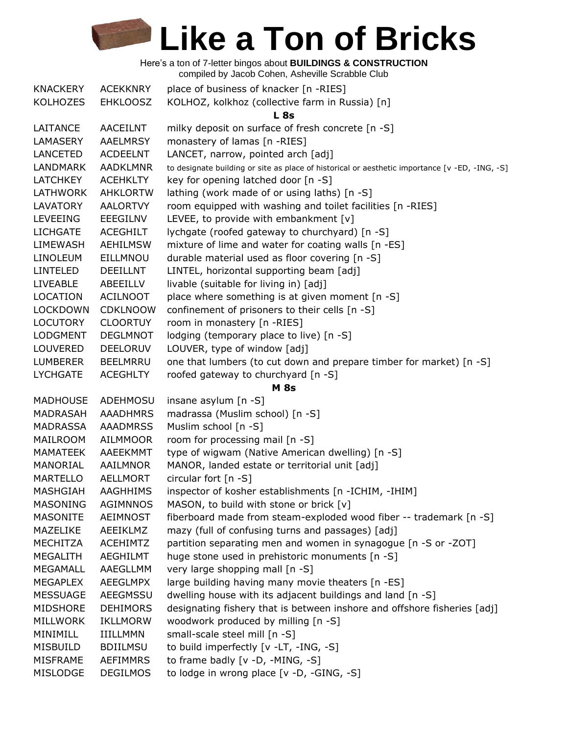Here's a ton of 7-letter bingos about **BUILDINGS & CONSTRUCTION** compiled by Jacob Cohen, Asheville Scrabble Club

| <b>KNACKERY</b> | <b>ACEKKNRY</b> | place of business of knacker [n -RIES]                                                         |
|-----------------|-----------------|------------------------------------------------------------------------------------------------|
| <b>KOLHOZES</b> | <b>EHKLOOSZ</b> | KOLHOZ, kolkhoz (collective farm in Russia) [n]                                                |
|                 |                 | L8s                                                                                            |
| LAITANCE        | AACEILNT        | milky deposit on surface of fresh concrete [n -S]                                              |
| LAMASERY        | <b>AAELMRSY</b> | monastery of lamas [n -RIES]                                                                   |
| <b>LANCETED</b> | <b>ACDEELNT</b> | LANCET, narrow, pointed arch [adj]                                                             |
| LANDMARK        | <b>AADKLMNR</b> | to designate building or site as place of historical or aesthetic importance [v -ED, -ING, -S] |
| <b>LATCHKEY</b> | <b>ACEHKLTY</b> | key for opening latched door [n -S]                                                            |
| LATHWORK        | <b>AHKLORTW</b> | lathing (work made of or using laths) [n -S]                                                   |
| LAVATORY        | <b>AALORTVY</b> | room equipped with washing and toilet facilities [n -RIES]                                     |
| <b>LEVEEING</b> | EEEGILNV        | LEVEE, to provide with embankment [v]                                                          |
| <b>LICHGATE</b> |                 |                                                                                                |
|                 | ACEGHILT        | lychgate (roofed gateway to churchyard) [n -S]                                                 |
| LIMEWASH        | <b>AEHILMSW</b> | mixture of lime and water for coating walls [n -ES]                                            |
| <b>LINOLEUM</b> | EILLMNOU        | durable material used as floor covering [n -S]                                                 |
| <b>LINTELED</b> | DEEILLNT        | LINTEL, horizontal supporting beam [adj]                                                       |
| <b>LIVEABLE</b> | ABEEILLV        | livable (suitable for living in) [adj]                                                         |
| <b>LOCATION</b> | <b>ACILNOOT</b> | place where something is at given moment [n -S]                                                |
| <b>LOCKDOWN</b> | <b>CDKLNOOW</b> | confinement of prisoners to their cells [n -S]                                                 |
| <b>LOCUTORY</b> | <b>CLOORTUY</b> | room in monastery [n -RIES]                                                                    |
| <b>LODGMENT</b> | <b>DEGLMNOT</b> | lodging (temporary place to live) [n -S]                                                       |
| <b>LOUVERED</b> | <b>DEELORUV</b> | LOUVER, type of window [adj]                                                                   |
| <b>LUMBERER</b> | <b>BEELMRRU</b> | one that lumbers (to cut down and prepare timber for market) [n -S]                            |
| <b>LYCHGATE</b> | <b>ACEGHLTY</b> | roofed gateway to churchyard [n -S]                                                            |
|                 |                 | <b>M</b> 8s                                                                                    |
| <b>MADHOUSE</b> | ADEHMOSU        | insane asylum [n -S]                                                                           |
| MADRASAH        | <b>AAADHMRS</b> | madrassa (Muslim school) [n -S]                                                                |
| <b>MADRASSA</b> | <b>AAADMRSS</b> | Muslim school [n -S]                                                                           |
| MAILROOM        | <b>AILMMOOR</b> | room for processing mail [n -S]                                                                |
| MAMATEEK        | AAEEKMMT        | type of wigwam (Native American dwelling) [n -S]                                               |
| MANORIAL        | AAILMNOR        | MANOR, landed estate or territorial unit [adj]                                                 |
| <b>MARTELLO</b> | AELLMORT        | circular fort $[n - S]$                                                                        |
| MASHGIAH        | AAGHHIMS        | inspector of kosher establishments [n -ICHIM, -IHIM]                                           |
| MASONING        | <b>AGIMNNOS</b> | MASON, to build with stone or brick $[v]$                                                      |
| <b>MASONITE</b> | AEIMNOST        | fiberboard made from steam-exploded wood fiber -- trademark [n -S]                             |
| <b>MAZELIKE</b> | AEEIKLMZ        | mazy (full of confusing turns and passages) [adj]                                              |
| MECHITZA        | <b>ACEHIMTZ</b> | partition separating men and women in synagogue [n -S or -ZOT]                                 |
| <b>MEGALITH</b> | <b>AEGHILMT</b> | huge stone used in prehistoric monuments [n -S]                                                |
| <b>MEGAMALL</b> | AAEGLLMM        | very large shopping mall [n -S]                                                                |
| <b>MEGAPLEX</b> | AEEGLMPX        | large building having many movie theaters [n -ES]                                              |
| <b>MESSUAGE</b> | AEEGMSSU        | dwelling house with its adjacent buildings and land [n -S]                                     |
| MIDSHORE        | <b>DEHIMORS</b> | designating fishery that is between inshore and offshore fisheries [adj]                       |
| <b>MILLWORK</b> | <b>IKLLMORW</b> | woodwork produced by milling [n -S]                                                            |
| MINIMILL        | <b>IIILLMMN</b> | small-scale steel mill [n -S]                                                                  |
| MISBUILD        | <b>BDIILMSU</b> | to build imperfectly [v -LT, -ING, -S]                                                         |
| <b>MISFRAME</b> | <b>AEFIMMRS</b> | to frame badly [v -D, -MING, -S]                                                               |
| MISLODGE        | <b>DEGILMOS</b> | to lodge in wrong place [v -D, -GING, -S]                                                      |
|                 |                 |                                                                                                |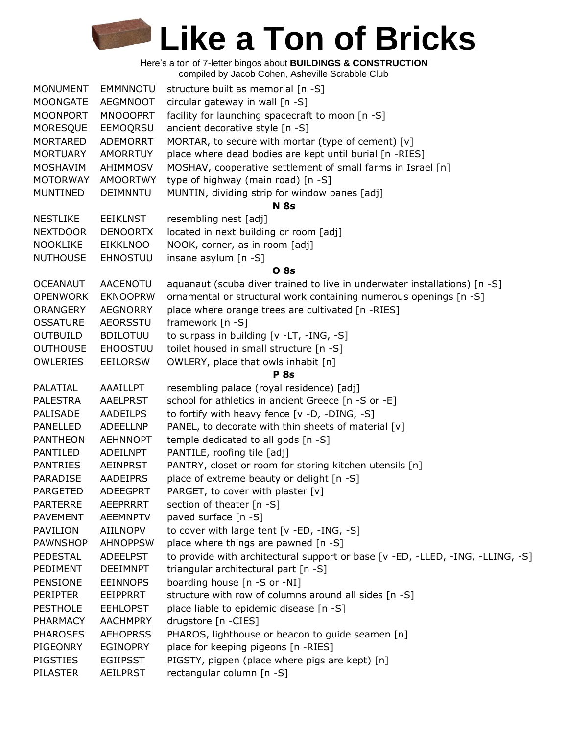| <b>MONUMENT</b> | <b>EMMNNOTU</b> | structure built as memorial [n -S]                                             |
|-----------------|-----------------|--------------------------------------------------------------------------------|
| MOONGATE        | AEGMNOOT        | circular gateway in wall [n -S]                                                |
| <b>MOONPORT</b> | <b>MNOOOPRT</b> | facility for launching spacecraft to moon [n -S]                               |
| MORESQUE        | EEMOQRSU        | ancient decorative style [n -S]                                                |
| MORTARED        | ADEMORRT        | MORTAR, to secure with mortar (type of cement) [v]                             |
| <b>MORTUARY</b> | <b>AMORRTUY</b> | place where dead bodies are kept until burial [n -RIES]                        |
| MOSHAVIM        | AHIMMOSV        | MOSHAV, cooperative settlement of small farms in Israel [n]                    |
| <b>MOTORWAY</b> | <b>AMOORTWY</b> | type of highway (main road) [n -S]                                             |
| <b>MUNTINED</b> | DEIMNNTU        | MUNTIN, dividing strip for window panes [adj]                                  |
|                 |                 | <b>N</b> 8s                                                                    |
| <b>NESTLIKE</b> | <b>EEIKLNST</b> | resembling nest [adj]                                                          |
| <b>NEXTDOOR</b> | <b>DENOORTX</b> | located in next building or room [adj]                                         |
| <b>NOOKLIKE</b> | <b>EIKKLNOO</b> | NOOK, corner, as in room [adj]                                                 |
| <b>NUTHOUSE</b> | <b>EHNOSTUU</b> | insane asylum [n -S]                                                           |
|                 |                 | <b>O</b> 8s                                                                    |
| <b>OCEANAUT</b> | <b>AACENOTU</b> | aquanaut (scuba diver trained to live in underwater installations) [n -S]      |
| <b>OPENWORK</b> | <b>EKNOOPRW</b> | ornamental or structural work containing numerous openings [n -S]              |
| <b>ORANGERY</b> | <b>AEGNORRY</b> | place where orange trees are cultivated [n -RIES]                              |
| <b>OSSATURE</b> | AEORSSTU        | framework [n -S]                                                               |
| <b>OUTBUILD</b> | <b>BDILOTUU</b> | to surpass in building [v -LT, -ING, -S]                                       |
| <b>OUTHOUSE</b> | <b>EHOOSTUU</b> | toilet housed in small structure [n -S]                                        |
| <b>OWLERIES</b> | <b>EEILORSW</b> | OWLERY, place that owls inhabit [n]                                            |
|                 |                 | <b>P</b> 8s                                                                    |
| PALATIAL        | AAAILLPT        | resembling palace (royal residence) [adj]                                      |
| <b>PALESTRA</b> | <b>AAELPRST</b> | school for athletics in ancient Greece [n -S or -E]                            |
| PALISADE        | AADEILPS        | to fortify with heavy fence [v -D, -DING, -S]                                  |
| PANELLED        | <b>ADEELLNP</b> | PANEL, to decorate with thin sheets of material [v]                            |
| <b>PANTHEON</b> | <b>AEHNNOPT</b> | temple dedicated to all gods [n -S]                                            |
| PANTILED        | ADEILNPT        | PANTILE, roofing tile [adj]                                                    |
| <b>PANTRIES</b> | <b>AEINPRST</b> | PANTRY, closet or room for storing kitchen utensils [n]                        |
| PARADISE        | AADEIPRS        | place of extreme beauty or delight [n -S]                                      |
| <b>PARGETED</b> | <b>ADEEGPRT</b> | PARGET, to cover with plaster [v]                                              |
| <b>PARTERRE</b> | <b>AEEPRRRT</b> | section of theater [n -S]                                                      |
| <b>PAVEMENT</b> | <b>AEEMNPTV</b> | paved surface [n -S]                                                           |
| PAVILION        | AIILNOPV        | to cover with large tent [v -ED, -ING, -S]                                     |
| <b>PAWNSHOP</b> | <b>AHNOPPSW</b> | place where things are pawned [n -S]                                           |
| <b>PEDESTAL</b> | <b>ADEELPST</b> | to provide with architectural support or base [v -ED, -LLED, -ING, -LLING, -S] |
| PEDIMENT        | <b>DEEIMNPT</b> | triangular architectural part [n -S]                                           |
| PENSIONE        | <b>EEINNOPS</b> | boarding house [n -S or -NI]                                                   |
| <b>PERIPTER</b> | EEIPPRRT        | structure with row of columns around all sides [n -S]                          |
| <b>PESTHOLE</b> | <b>EEHLOPST</b> | place liable to epidemic disease [n -S]                                        |
|                 |                 |                                                                                |
| PHARMACY        | <b>AACHMPRY</b> | drugstore [n -CIES]                                                            |
| <b>PHAROSES</b> | <b>AEHOPRSS</b> | PHAROS, lighthouse or beacon to guide seamen [n]                               |
| PIGEONRY        | <b>EGINOPRY</b> | place for keeping pigeons [n -RIES]                                            |
| <b>PIGSTIES</b> | <b>EGIIPSST</b> | PIGSTY, pigpen (place where pigs are kept) [n]                                 |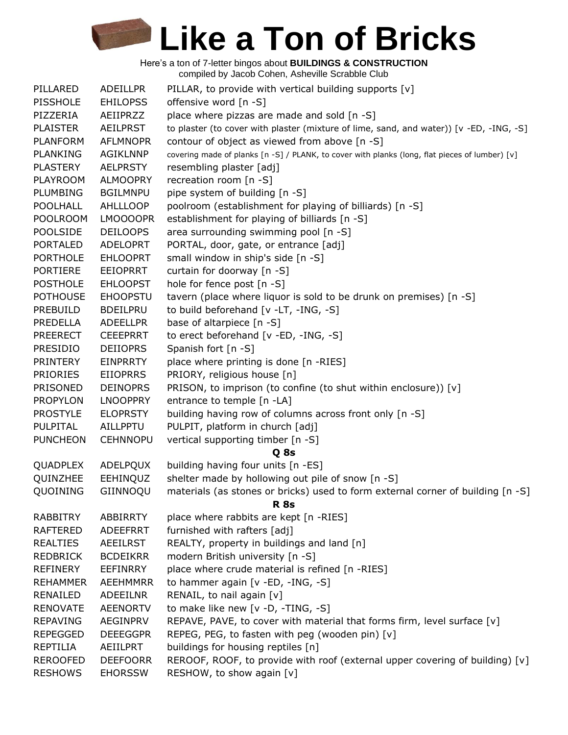| PILLARED        | ADEILLPR        | PILLAR, to provide with vertical building supports [v]                                         |
|-----------------|-----------------|------------------------------------------------------------------------------------------------|
| <b>PISSHOLE</b> | <b>EHILOPSS</b> | offensive word [n -S]                                                                          |
| PIZZERIA        | AEIIPRZZ        | place where pizzas are made and sold [n -S]                                                    |
| <b>PLAISTER</b> | <b>AEILPRST</b> | to plaster (to cover with plaster (mixture of lime, sand, and water)) [v -ED, -ING, -S]        |
| <b>PLANFORM</b> | <b>AFLMNOPR</b> | contour of object as viewed from above [n -S]                                                  |
| <b>PLANKING</b> | <b>AGIKLNNP</b> | covering made of planks [n -S] / PLANK, to cover with planks (long, flat pieces of lumber) [v] |
| <b>PLASTERY</b> | <b>AELPRSTY</b> | resembling plaster [adj]                                                                       |
| <b>PLAYROOM</b> | <b>ALMOOPRY</b> | recreation room [n -S]                                                                         |
| <b>PLUMBING</b> | <b>BGILMNPU</b> | pipe system of building [n -S]                                                                 |
| POOLHALL        | <b>AHLLLOOP</b> | poolroom (establishment for playing of billiards) [n -S]                                       |
| <b>POOLROOM</b> | LMOOOOPR        | establishment for playing of billiards [n -S]                                                  |
| <b>POOLSIDE</b> | <b>DEILOOPS</b> | area surrounding swimming pool [n -S]                                                          |
| <b>PORTALED</b> | <b>ADELOPRT</b> | PORTAL, door, gate, or entrance [adj]                                                          |
| <b>PORTHOLE</b> | <b>EHLOOPRT</b> | small window in ship's side [n -S]                                                             |
| <b>PORTIERE</b> | <b>EEIOPRRT</b> | curtain for doorway [n -S]                                                                     |
| <b>POSTHOLE</b> | <b>EHLOOPST</b> | hole for fence post [n -S]                                                                     |
| <b>POTHOUSE</b> | <b>EHOOPSTU</b> | tavern (place where liquor is sold to be drunk on premises) [n -S]                             |
| PREBUILD        | <b>BDEILPRU</b> | to build beforehand [v -LT, -ING, -S]                                                          |
| PREDELLA        | <b>ADEELLPR</b> | base of altarpiece [n -S]                                                                      |
| <b>PREERECT</b> | <b>CEEEPRRT</b> | to erect beforehand [v -ED, -ING, -S]                                                          |
| <b>PRESIDIO</b> | <b>DEIIOPRS</b> | Spanish fort [n -S]                                                                            |
| <b>PRINTERY</b> | <b>EINPRRTY</b> | place where printing is done [n -RIES]                                                         |
| <b>PRIORIES</b> | <b>EIIOPRRS</b> | PRIORY, religious house [n]                                                                    |
| PRISONED        | <b>DEINOPRS</b> | PRISON, to imprison (to confine (to shut within enclosure)) [v]                                |
| <b>PROPYLON</b> | <b>LNOOPPRY</b> | entrance to temple [n -LA]                                                                     |
| <b>PROSTYLE</b> | <b>ELOPRSTY</b> | building having row of columns across front only [n -S]                                        |
| PULPITAL        | AILLPPTU        | PULPIT, platform in church [adj]                                                               |
| <b>PUNCHEON</b> | <b>CEHNNOPU</b> | vertical supporting timber [n -S]                                                              |
|                 |                 | Q 8s                                                                                           |
| QUADPLEX        | ADELPQUX        | building having four units [n -ES]                                                             |
| QUINZHEE        | EEHINQUZ        | shelter made by hollowing out pile of snow [n -S]                                              |
| QUOINING        | GIINNOQU        | materials (as stones or bricks) used to form external corner of building [n -S]                |
|                 |                 | <b>R</b> 8s                                                                                    |
| RABBITRY        | ABBIRRTY        | place where rabbits are kept [n -RIES]                                                         |
| <b>RAFTERED</b> | <b>ADEEFRRT</b> | furnished with rafters [adj]                                                                   |
| <b>REALTIES</b> | <b>AEEILRST</b> | REALTY, property in buildings and land [n]                                                     |
| <b>REDBRICK</b> | <b>BCDEIKRR</b> | modern British university [n -S]                                                               |
| <b>REFINERY</b> | <b>EEFINRRY</b> | place where crude material is refined [n -RIES]                                                |
| <b>REHAMMER</b> | <b>AEEHMMRR</b> | to hammer again [v -ED, -ING, -S]                                                              |
| RENAILED        | ADEEILNR        | RENAIL, to nail again [v]                                                                      |
| <b>RENOVATE</b> | <b>AEENORTV</b> | to make like new [v -D, -TING, -S]                                                             |
| <b>REPAVING</b> | <b>AEGINPRV</b> | REPAVE, PAVE, to cover with material that forms firm, level surface [v]                        |
| <b>REPEGGED</b> | <b>DEEEGGPR</b> | REPEG, PEG, to fasten with peg (wooden pin) [v]                                                |
| <b>REPTILIA</b> | AEIILPRT        | buildings for housing reptiles [n]                                                             |
| <b>REROOFED</b> | <b>DEEFOORR</b> | REROOF, ROOF, to provide with roof (external upper covering of building) $[v]$                 |
| <b>RESHOWS</b>  | <b>EHORSSW</b>  | RESHOW, to show again [v]                                                                      |
|                 |                 |                                                                                                |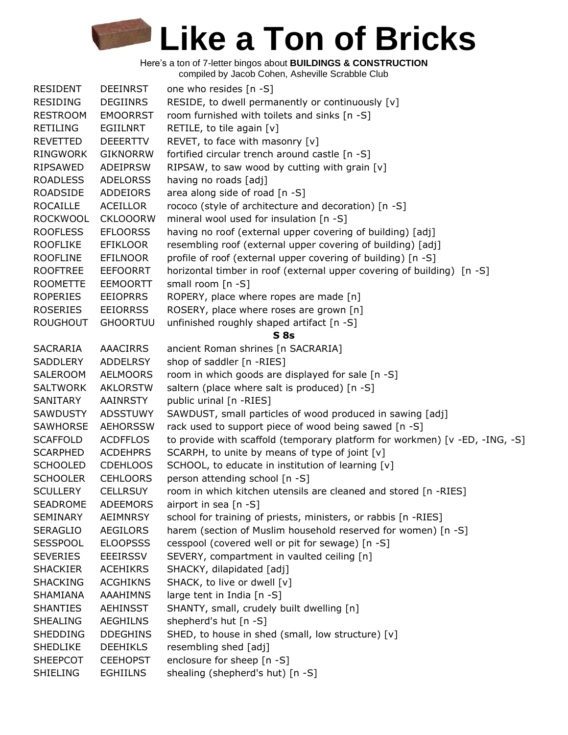| <b>RESIDENT</b> | <b>DEEINRST</b> | one who resides [n -S]                                                      |
|-----------------|-----------------|-----------------------------------------------------------------------------|
| <b>RESIDING</b> | <b>DEGIINRS</b> | RESIDE, to dwell permanently or continuously [v]                            |
| <b>RESTROOM</b> | <b>EMOORRST</b> | room furnished with toilets and sinks [n -S]                                |
| <b>RETILING</b> | <b>EGIILNRT</b> | RETILE, to tile again [v]                                                   |
| <b>REVETTED</b> | <b>DEEERTTV</b> | REVET, to face with masonry [v]                                             |
| <b>RINGWORK</b> | <b>GIKNORRW</b> | fortified circular trench around castle [n -S]                              |
| RIPSAWED        | <b>ADEIPRSW</b> | RIPSAW, to saw wood by cutting with grain [v]                               |
| <b>ROADLESS</b> | <b>ADELORSS</b> | having no roads [adj]                                                       |
| ROADSIDE        | <b>ADDEIORS</b> | area along side of road [n -S]                                              |
| <b>ROCAILLE</b> | <b>ACEILLOR</b> | rococo (style of architecture and decoration) [n -S]                        |
| <b>ROCKWOOL</b> | <b>CKLOOORW</b> | mineral wool used for insulation [n -S]                                     |
| <b>ROOFLESS</b> | <b>EFLOORSS</b> | having no roof (external upper covering of building) [adj]                  |
| <b>ROOFLIKE</b> | <b>EFIKLOOR</b> | resembling roof (external upper covering of building) [adj]                 |
| <b>ROOFLINE</b> | <b>EFILNOOR</b> | profile of roof (external upper covering of building) [n -S]                |
| <b>ROOFTREE</b> | <b>EEFOORRT</b> | horizontal timber in roof (external upper covering of building) [n -S]      |
| <b>ROOMETTE</b> | <b>EEMOORTT</b> | small room $[n -S]$                                                         |
| <b>ROPERIES</b> | <b>EEIOPRRS</b> | ROPERY, place where ropes are made [n]                                      |
| <b>ROSERIES</b> | <b>EEIORRSS</b> | ROSERY, place where roses are grown [n]                                     |
| <b>ROUGHOUT</b> | <b>GHOORTUU</b> | unfinished roughly shaped artifact [n -S]                                   |
|                 |                 | S <sub>8s</sub>                                                             |
| SACRARIA        | <b>AAACIRRS</b> | ancient Roman shrines [n SACRARIA]                                          |
| <b>SADDLERY</b> | <b>ADDELRSY</b> | shop of saddler [n -RIES]                                                   |
| SALEROOM        | <b>AELMOORS</b> | room in which goods are displayed for sale [n -S]                           |
| <b>SALTWORK</b> | <b>AKLORSTW</b> | saltern (place where salt is produced) [n -S]                               |
| SANITARY        | <b>AAINRSTY</b> | public urinal [n -RIES]                                                     |
| <b>SAWDUSTY</b> | <b>ADSSTUWY</b> | SAWDUST, small particles of wood produced in sawing [adj]                   |
| SAWHORSE        | <b>AEHORSSW</b> | rack used to support piece of wood being sawed [n -S]                       |
| <b>SCAFFOLD</b> | <b>ACDFFLOS</b> | to provide with scaffold (temporary platform for workmen) [v -ED, -ING, -S] |
| <b>SCARPHED</b> | <b>ACDEHPRS</b> | SCARPH, to unite by means of type of joint [v]                              |
| <b>SCHOOLED</b> | <b>CDEHLOOS</b> | SCHOOL, to educate in institution of learning [v]                           |
| <b>SCHOOLER</b> | <b>CEHLOORS</b> | person attending school [n -S]                                              |
| <b>SCULLERY</b> | <b>CELLRSUY</b> | room in which kitchen utensils are cleaned and stored [n -RIES]             |
| <b>SEADROME</b> | <b>ADEEMORS</b> | airport in sea $[n-S]$                                                      |
| SEMINARY        | <b>AEIMNRSY</b> | school for training of priests, ministers, or rabbis [n -RIES]              |
| <b>SERAGLIO</b> | <b>AEGILORS</b> | harem (section of Muslim household reserved for women) [n -S]               |
| <b>SESSPOOL</b> | <b>ELOOPSSS</b> | cesspool (covered well or pit for sewage) [n -S]                            |
| <b>SEVERIES</b> | <b>EEEIRSSV</b> | SEVERY, compartment in vaulted ceiling [n]                                  |
| <b>SHACKIER</b> | <b>ACEHIKRS</b> | SHACKY, dilapidated [adj]                                                   |
| <b>SHACKING</b> | <b>ACGHIKNS</b> | SHACK, to live or dwell [v]                                                 |
| SHAMIANA        | <b>AAAHIMNS</b> | large tent in India [n -S]                                                  |
| <b>SHANTIES</b> | <b>AEHINSST</b> | SHANTY, small, crudely built dwelling [n]                                   |
| <b>SHEALING</b> | <b>AEGHILNS</b> | shepherd's hut [n -S]                                                       |
| <b>SHEDDING</b> | <b>DDEGHINS</b> | SHED, to house in shed (small, low structure) [v]                           |
| <b>SHEDLIKE</b> | <b>DEEHIKLS</b> | resembling shed [adj]                                                       |
| <b>SHEEPCOT</b> | <b>CEEHOPST</b> | enclosure for sheep [n -S]                                                  |
| <b>SHIELING</b> | <b>EGHIILNS</b> | shealing (shepherd's hut) [n -S]                                            |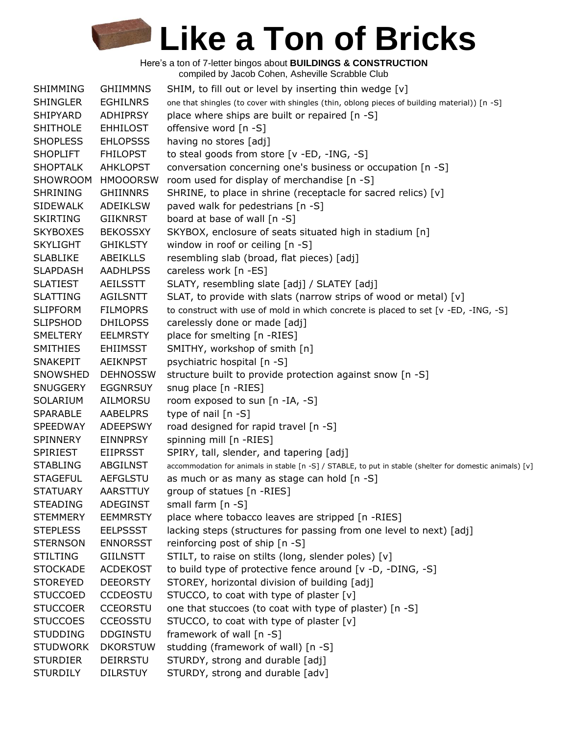| SHIMMING        | <b>GHIIMMNS</b> | SHIM, to fill out or level by inserting thin wedge [v]                                                   |
|-----------------|-----------------|----------------------------------------------------------------------------------------------------------|
| <b>SHINGLER</b> | <b>EGHILNRS</b> | one that shingles (to cover with shingles (thin, oblong pieces of building material)) [n -S]             |
| SHIPYARD        | <b>ADHIPRSY</b> | place where ships are built or repaired [n -S]                                                           |
| <b>SHITHOLE</b> | <b>EHHILOST</b> | offensive word [n -S]                                                                                    |
| <b>SHOPLESS</b> | <b>EHLOPSSS</b> | having no stores [adj]                                                                                   |
| <b>SHOPLIFT</b> | <b>FHILOPST</b> | to steal goods from store [v -ED, -ING, -S]                                                              |
| <b>SHOPTALK</b> | <b>AHKLOPST</b> | conversation concerning one's business or occupation [n -S]                                              |
| SHOWROOM        | <b>HMOOORSW</b> | room used for display of merchandise [n -S]                                                              |
| <b>SHRINING</b> | <b>GHIINNRS</b> | SHRINE, to place in shrine (receptacle for sacred relics) [v]                                            |
| <b>SIDEWALK</b> | <b>ADEIKLSW</b> | paved walk for pedestrians [n -S]                                                                        |
| <b>SKIRTING</b> | <b>GIIKNRST</b> | board at base of wall [n -S]                                                                             |
| <b>SKYBOXES</b> | <b>BEKOSSXY</b> | SKYBOX, enclosure of seats situated high in stadium [n]                                                  |
| <b>SKYLIGHT</b> | <b>GHIKLSTY</b> | window in roof or ceiling $[n -S]$                                                                       |
| <b>SLABLIKE</b> | <b>ABEIKLLS</b> | resembling slab (broad, flat pieces) [adj]                                                               |
| <b>SLAPDASH</b> | <b>AADHLPSS</b> | careless work [n -ES]                                                                                    |
| <b>SLATIEST</b> | <b>AEILSSTT</b> | SLATY, resembling slate [adj] / SLATEY [adj]                                                             |
| <b>SLATTING</b> | <b>AGILSNTT</b> | SLAT, to provide with slats (narrow strips of wood or metal) [v]                                         |
| <b>SLIPFORM</b> | <b>FILMOPRS</b> | to construct with use of mold in which concrete is placed to set [v -ED, -ING, -S]                       |
| <b>SLIPSHOD</b> | <b>DHILOPSS</b> | carelessly done or made [adj]                                                                            |
| <b>SMELTERY</b> | <b>EELMRSTY</b> | place for smelting [n -RIES]                                                                             |
| <b>SMITHIES</b> | <b>EHIIMSST</b> | SMITHY, workshop of smith [n]                                                                            |
| <b>SNAKEPIT</b> | <b>AEIKNPST</b> | psychiatric hospital [n -S]                                                                              |
| SNOWSHED        | <b>DEHNOSSW</b> | structure built to provide protection against snow [n -S]                                                |
| <b>SNUGGERY</b> | <b>EGGNRSUY</b> | snug place [n -RIES]                                                                                     |
| SOLARIUM        | AILMORSU        | room exposed to sun [n -IA, -S]                                                                          |
| <b>SPARABLE</b> | AABELPRS        | type of nail [n -S]                                                                                      |
| <b>SPEEDWAY</b> | <b>ADEEPSWY</b> | road designed for rapid travel [n -S]                                                                    |
| <b>SPINNERY</b> | <b>EINNPRSY</b> | spinning mill [n -RIES]                                                                                  |
| <b>SPIRIEST</b> | <b>EIIPRSST</b> | SPIRY, tall, slender, and tapering [adj]                                                                 |
| <b>STABLING</b> | ABGILNST        | accommodation for animals in stable [n -S] / STABLE, to put in stable (shelter for domestic animals) [v] |
| <b>STAGEFUL</b> | <b>AEFGLSTU</b> | as much or as many as stage can hold [n -S]                                                              |
| <b>STATUARY</b> | <b>AARSTTUY</b> | group of statues [n -RIES]                                                                               |
| <b>STEADING</b> | ADEGINST        | small farm $[n - S]$                                                                                     |
| <b>STEMMERY</b> | <b>EEMMRSTY</b> | place where tobacco leaves are stripped [n -RIES]                                                        |
| <b>STEPLESS</b> | <b>EELPSSST</b> | lacking steps (structures for passing from one level to next) [adj]                                      |
| <b>STERNSON</b> | <b>ENNORSST</b> | reinforcing post of ship [n -S]                                                                          |
| <b>STILTING</b> | <b>GIILNSTT</b> | STILT, to raise on stilts (long, slender poles) [v]                                                      |
| <b>STOCKADE</b> | <b>ACDEKOST</b> | to build type of protective fence around [v -D, -DING, -S]                                               |
| <b>STOREYED</b> | <b>DEEORSTY</b> | STOREY, horizontal division of building [adj]                                                            |
| <b>STUCCOED</b> | <b>CCDEOSTU</b> | STUCCO, to coat with type of plaster [v]                                                                 |
| <b>STUCCOER</b> | <b>CCEORSTU</b> | one that stuccoes (to coat with type of plaster) [n -S]                                                  |
| <b>STUCCOES</b> | <b>CCEOSSTU</b> | STUCCO, to coat with type of plaster [v]                                                                 |
| <b>STUDDING</b> | <b>DDGINSTU</b> | framework of wall [n -S]                                                                                 |
| <b>STUDWORK</b> | <b>DKORSTUW</b> | studding (framework of wall) [n -S]                                                                      |
| <b>STURDIER</b> | DEIRRSTU        | STURDY, strong and durable [adj]                                                                         |
| <b>STURDILY</b> | <b>DILRSTUY</b> | STURDY, strong and durable [adv]                                                                         |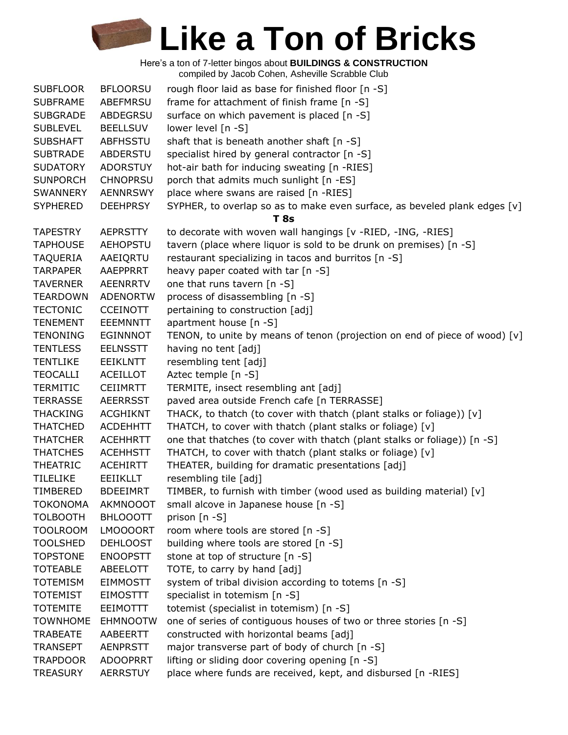| <b>SUBFLOOR</b> | <b>BFLOORSU</b> | rough floor laid as base for finished floor [n -S]                           |
|-----------------|-----------------|------------------------------------------------------------------------------|
| <b>SUBFRAME</b> | ABEFMRSU        | frame for attachment of finish frame [n -S]                                  |
| <b>SUBGRADE</b> | <b>ABDEGRSU</b> | surface on which pavement is placed [n -S]                                   |
| <b>SUBLEVEL</b> | <b>BEELLSUV</b> | lower level [n -S]                                                           |
| <b>SUBSHAFT</b> | ABFHSSTU        | shaft that is beneath another shaft [n -S]                                   |
| <b>SUBTRADE</b> | <b>ABDERSTU</b> | specialist hired by general contractor [n -S]                                |
| <b>SUDATORY</b> | <b>ADORSTUY</b> | hot-air bath for inducing sweating [n -RIES]                                 |
| <b>SUNPORCH</b> | <b>CHNOPRSU</b> | porch that admits much sunlight [n -ES]                                      |
| SWANNERY        | <b>AENNRSWY</b> | place where swans are raised [n -RIES]                                       |
| <b>SYPHERED</b> | <b>DEEHPRSY</b> | SYPHER, to overlap so as to make even surface, as beveled plank edges [v]    |
|                 |                 | T 8s                                                                         |
| <b>TAPESTRY</b> | <b>AEPRSTTY</b> | to decorate with woven wall hangings [v -RIED, -ING, -RIES]                  |
| <b>TAPHOUSE</b> | <b>AEHOPSTU</b> | tavern (place where liquor is sold to be drunk on premises) [n -S]           |
| <b>TAQUERIA</b> | AAEIQRTU        | restaurant specializing in tacos and burritos [n -S]                         |
| <b>TARPAPER</b> | AAEPPRRT        | heavy paper coated with tar $[n - S]$                                        |
| <b>TAVERNER</b> | <b>AEENRRTV</b> | one that runs tavern [n -S]                                                  |
| <b>TEARDOWN</b> | <b>ADENORTW</b> | process of disassembling [n -S]                                              |
| <b>TECTONIC</b> | <b>CCEINOTT</b> | pertaining to construction [adj]                                             |
| <b>TENEMENT</b> | <b>EEEMNNTT</b> | apartment house [n -S]                                                       |
| <b>TENONING</b> | <b>EGINNNOT</b> | TENON, to unite by means of tenon (projection on end of piece of wood) $[v]$ |
| <b>TENTLESS</b> | <b>EELNSSTT</b> | having no tent [adj]                                                         |
| <b>TENTLIKE</b> | <b>EEIKLNTT</b> | resembling tent [adj]                                                        |
| <b>TEOCALLI</b> | <b>ACEILLOT</b> | Aztec temple [n -S]                                                          |
| <b>TERMITIC</b> | <b>CEIIMRTT</b> | TERMITE, insect resembling ant [adj]                                         |
| <b>TERRASSE</b> | <b>AEERRSST</b> | paved area outside French cafe [n TERRASSE]                                  |
| <b>THACKING</b> | <b>ACGHIKNT</b> | THACK, to thatch (to cover with thatch (plant stalks or foliage)) [v]        |
| <b>THATCHED</b> | <b>ACDEHHTT</b> | THATCH, to cover with thatch (plant stalks or foliage) [v]                   |
| <b>THATCHER</b> | <b>ACEHHRTT</b> | one that thatches (to cover with thatch (plant stalks or foliage)) [n -S]    |
| <b>THATCHES</b> | <b>ACEHHSTT</b> | THATCH, to cover with thatch (plant stalks or foliage) [v]                   |
| <b>THEATRIC</b> | <b>ACEHIRTT</b> | THEATER, building for dramatic presentations [adj]                           |
| <b>TILELIKE</b> | <b>EEIIKLLT</b> | resembling tile [adj]                                                        |
| TIMBERED        | <b>BDEEIMRT</b> | TIMBER, to furnish with timber (wood used as building material) [v]          |
| <b>TOKONOMA</b> | <b>AKMNOOOT</b> | small alcove in Japanese house [n -S]                                        |
| <b>TOLBOOTH</b> | <b>BHLOOOTT</b> | prison $[n - S]$                                                             |
| <b>TOOLROOM</b> | LMOOOORT        | room where tools are stored [n -S]                                           |
| <b>TOOLSHED</b> | <b>DEHLOOST</b> | building where tools are stored [n -S]                                       |
| <b>TOPSTONE</b> | <b>ENOOPSTT</b> | stone at top of structure [n -S]                                             |
| <b>TOTEABLE</b> | ABEELOTT        | TOTE, to carry by hand [adj]                                                 |
| <b>TOTEMISM</b> | <b>EIMMOSTT</b> | system of tribal division according to totems [n -S]                         |
| <b>TOTEMIST</b> | <b>EIMOSTTT</b> | specialist in totemism [n -S]                                                |
| <b>TOTEMITE</b> | <b>EEIMOTTT</b> | totemist (specialist in totemism) [n -S]                                     |
| <b>TOWNHOME</b> | <b>EHMNOOTW</b> | one of series of contiguous houses of two or three stories [n -S]            |
| <b>TRABEATE</b> | AABEERTT        | constructed with horizontal beams [adj]                                      |
| <b>TRANSEPT</b> | <b>AENPRSTT</b> | major transverse part of body of church [n -S]                               |
| <b>TRAPDOOR</b> | <b>ADOOPRRT</b> | lifting or sliding door covering opening [n -S]                              |
| <b>TREASURY</b> | <b>AERRSTUY</b> | place where funds are received, kept, and disbursed [n -RIES]                |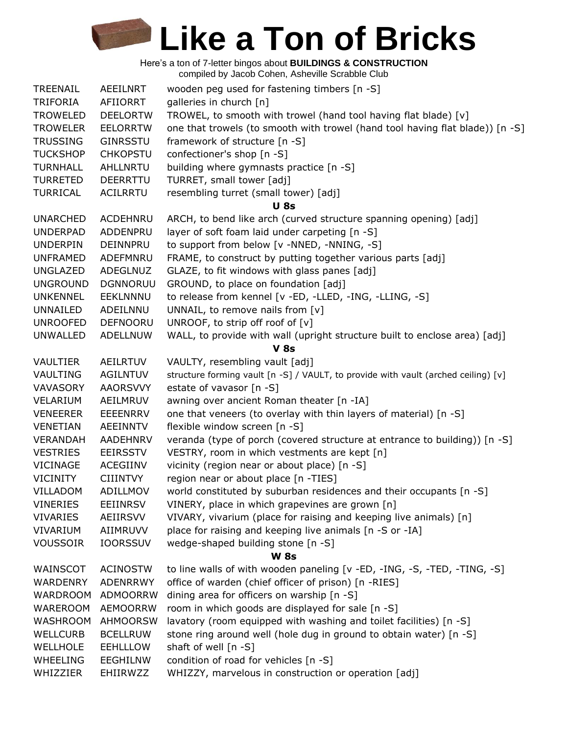| TREENAIL        | AEEILNRT        | wooden peg used for fastening timbers [n -S]                                       |
|-----------------|-----------------|------------------------------------------------------------------------------------|
| <b>TRIFORIA</b> | AFIIORRT        | galleries in church [n]                                                            |
| <b>TROWELED</b> | <b>DEELORTW</b> | TROWEL, to smooth with trowel (hand tool having flat blade) [v]                    |
| <b>TROWELER</b> | <b>EELORRTW</b> | one that trowels (to smooth with trowel (hand tool having flat blade)) [n -S]      |
| <b>TRUSSING</b> | GINRSSTU        | framework of structure [n -S]                                                      |
| <b>TUCKSHOP</b> | <b>CHKOPSTU</b> | confectioner's shop [n -S]                                                         |
| <b>TURNHALL</b> | AHLLNRTU        | building where gymnasts practice [n -S]                                            |
| <b>TURRETED</b> | <b>DEERRTTU</b> | TURRET, small tower [adj]                                                          |
| <b>TURRICAL</b> | <b>ACILRRTU</b> | resembling turret (small tower) [adj]                                              |
|                 |                 | <b>U</b> 8s                                                                        |
| <b>UNARCHED</b> | ACDEHNRU        | ARCH, to bend like arch (curved structure spanning opening) [adj]                  |
| <b>UNDERPAD</b> | ADDENPRU        | layer of soft foam laid under carpeting [n -S]                                     |
| <b>UNDERPIN</b> | DEINNPRU        | to support from below [v -NNED, -NNING, -S]                                        |
| <b>UNFRAMED</b> | ADEFMNRU        | FRAME, to construct by putting together various parts [adj]                        |
| <b>UNGLAZED</b> | ADEGLNUZ        | GLAZE, to fit windows with glass panes [adj]                                       |
| <b>UNGROUND</b> | <b>DGNNORUU</b> | GROUND, to place on foundation [adj]                                               |
| <b>UNKENNEL</b> | <b>EEKLNNNU</b> | to release from kennel [v -ED, -LLED, -ING, -LLING, -S]                            |
| UNNAILED        | ADEILNNU        | UNNAIL, to remove nails from [v]                                                   |
| <b>UNROOFED</b> | <b>DEFNOORU</b> | UNROOF, to strip off roof of [v]                                                   |
| <b>UNWALLED</b> | ADELLNUW        | WALL, to provide with wall (upright structure built to enclose area) [adj]         |
|                 |                 | $V$ 8s                                                                             |
| <b>VAULTIER</b> | <b>AEILRTUV</b> | VAULTY, resembling vault [adj]                                                     |
| VAULTING        | <b>AGILNTUV</b> | structure forming vault [n -S] / VAULT, to provide with vault (arched ceiling) [v] |
| <b>VAVASORY</b> | <b>AAORSVVY</b> | estate of vavasor [n -S]                                                           |
| VELARIUM        | AEILMRUV        | awning over ancient Roman theater [n -IA]                                          |
| <b>VENEERER</b> | <b>EEEENRRV</b> | one that veneers (to overlay with thin layers of material) [n -S]                  |
| <b>VENETIAN</b> | AEEINNTV        | flexible window screen [n -S]                                                      |
| <b>VERANDAH</b> | <b>AADEHNRV</b> | veranda (type of porch (covered structure at entrance to building)) [n -S]         |
| <b>VESTRIES</b> | <b>EEIRSSTV</b> | VESTRY, room in which vestments are kept [n]                                       |
| <b>VICINAGE</b> | <b>ACEGIINV</b> | vicinity (region near or about place) [n -S]                                       |
| <b>VICINITY</b> | <b>CIIINTVY</b> | region near or about place [n -TIES]                                               |
| VILLADOM        | ADILLMOV        | world constituted by suburban residences and their occupants [n -S]                |
| <b>VINERIES</b> | <b>EEIINRSV</b> | VINERY, place in which grapevines are grown [n]                                    |
| <b>VIVARIES</b> | AEIIRSVV        | VIVARY, vivarium (place for raising and keeping live animals) [n]                  |
| VIVARIUM        | AIIMRUVV        | place for raising and keeping live animals [n -S or -IA]                           |
| <b>VOUSSOIR</b> | <b>IOORSSUV</b> | wedge-shaped building stone [n -S]                                                 |
|                 |                 | <b>W 8s</b>                                                                        |
| WAINSCOT        | <b>ACINOSTW</b> | to line walls of with wooden paneling [v -ED, -ING, -S, -TED, -TING, -S]           |
| <b>WARDENRY</b> | <b>ADENRRWY</b> | office of warden (chief officer of prison) [n -RIES]                               |
| <b>WARDROOM</b> | <b>ADMOORRW</b> | dining area for officers on warship [n -S]                                         |
| <b>WAREROOM</b> | <b>AEMOORRW</b> | room in which goods are displayed for sale [n -S]                                  |
| WASHROOM        | <b>AHMOORSW</b> | lavatory (room equipped with washing and toilet facilities) [n -S]                 |
| <b>WELLCURB</b> | <b>BCELLRUW</b> | stone ring around well (hole dug in ground to obtain water) [n -S]                 |
| <b>WELLHOLE</b> | <b>EEHLLLOW</b> | shaft of well [n -S]                                                               |
| <b>WHEELING</b> | <b>EEGHILNW</b> | condition of road for vehicles [n -S]                                              |
| WHIZZIER        | EHIIRWZZ        | WHIZZY, marvelous in construction or operation [adj]                               |